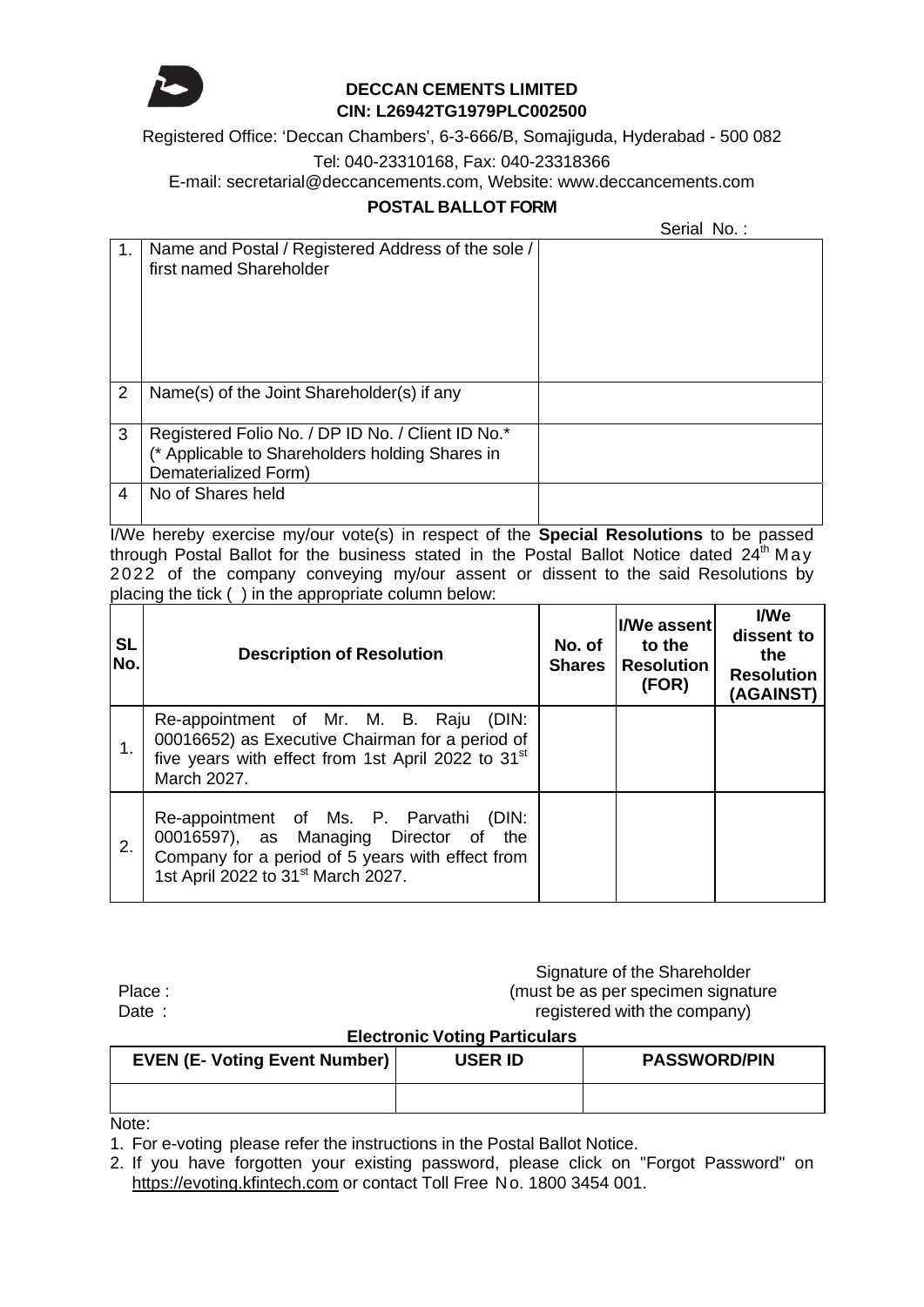

# **DECCAN CEMENTS LIMITED CIN: L26942TG1979PLC002500**

Registered Office: 'Deccan Chambers', 6-3-666/B, Somajiguda, Hyderabad - 500 082

## Tel: 040-23310168, Fax: 040-23318366

E-mail: secretarial@deccancements.com, Website: www.deccancements.com

### **POSTAL BALLOT FORM**

Serial No.:

|                | Name and Postal / Registered Address of the sole /<br>first named Shareholder                                                |  |
|----------------|------------------------------------------------------------------------------------------------------------------------------|--|
| $\overline{2}$ | Name(s) of the Joint Shareholder(s) if any                                                                                   |  |
| 3              | Registered Folio No. / DP ID No. / Client ID No.*<br>(* Applicable to Shareholders holding Shares in<br>Dematerialized Form) |  |
| 4              | No of Shares held                                                                                                            |  |

I/We hereby exercise my/our vote(s) in respect of the **Special Resolutions** to be passed through Postal Ballot for the business stated in the Postal Ballot Notice dated  $24<sup>th</sup>$  May 2022 of the company conveying my/our assent or dissent to the said Resolutions by placing the tick ( ) in the appropriate column below:

| <b>SL</b><br>No. | <b>Description of Resolution</b>                                                                                                                                                           | No. of<br><b>Shares</b> | <b>I/We assent</b><br>to the<br><b>Resolution</b><br>(FOR) | I/We<br>dissent to<br>the<br><b>Resolution</b><br>(AGAINST) |
|------------------|--------------------------------------------------------------------------------------------------------------------------------------------------------------------------------------------|-------------------------|------------------------------------------------------------|-------------------------------------------------------------|
|                  | Re-appointment of Mr. M. B. Raju<br>(DIN:<br>00016652) as Executive Chairman for a period of<br>five years with effect from 1st April 2022 to 31 <sup>st</sup><br>March 2027.              |                         |                                                            |                                                             |
| 2.               | Re-appointment of Ms. P. Parvathi (DIN:<br>00016597), as Managing Director of<br>the<br>Company for a period of 5 years with effect from<br>1st April 2022 to 31 <sup>st</sup> March 2027. |                         |                                                            |                                                             |

Place : Date :

Signature of the Shareholder (must be as per specimen signature registered with the company)

### **Electronic Voting Particulars**

| <b>EVEN (E- Voting Event Number)</b> | <b>USER ID</b> | <b>PASSWORD/PIN</b> |
|--------------------------------------|----------------|---------------------|
|                                      |                |                     |
|                                      |                |                     |

Note:

1. For e-voting please refer the instructions in the Postal Ballot Notice.

2. If you have forgotten your existing password, please click on "Forgot Password" on https://evoting.kfintech.com or contact Toll Free No. 1800 3454 001.